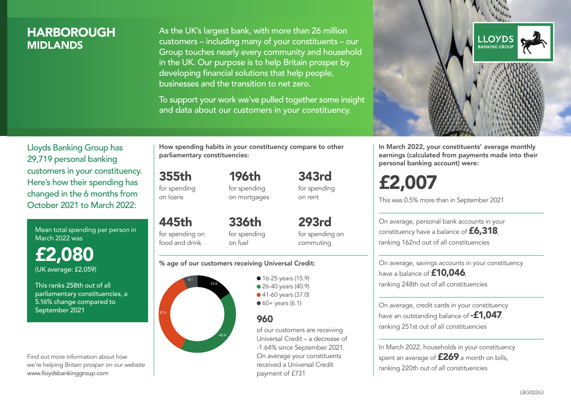### **HARBOROUGH MIDI ANDS**

As the UK's largest bank, with more than 26 million customers – including many of your constituents – our Group touches nearly every community and household in the UK. Our purpose is to help Britain prosper by developing financial solutions that help people, businesses and the transition to net zero.

To support your work we've pulled together some insight and data about our customers in your constituency.



Mean total spending per person in March 2022 was

£2,080 (UK average: £2,059)

This ranks 258th out of all parliamentary constituencies, a 5.16% change compared to September 2021

Find out more information about how we're helping Britain prosper on our website www.lloydsbankinggroup.com

How spending habits in your constituency compare to other parliamentary constituencies:

196th

355th for spending on loans

445th for spending on food and drink

for spending on mortgages 343rd for spending on rent

336th for spending on fuel

293rd for spending on commuting

#### % age of our customers receiving Universal Credit:



• 16-25 years (15.9) **26-40 years (40.9)** ● 41-60 years (37.0)  $60+$  years (6.1)

### 960

of our customers are receiving Universal Credit – a decrease of -1.64% since September 2021. On average your constituents received a Universal Credit payment of £731



In March 2022, your constituents' average monthly earnings (calculated from payments made into their personal banking account) were:

# £2,007

This was 0.5% more than in September 2021

On average, personal bank accounts in your constituency have a balance of £6,318, ranking 162nd out of all constituencies

On average, savings accounts in your constituency have a balance of **£10,046** ranking 248th out of all constituencies

On average, credit cards in your constituency have an outstanding balance of **-£1,047** ranking 251st out of all constituencies

In March 2022, households in your constituency spent an average of **£269** a month on bills, ranking 220th out of all constituencies